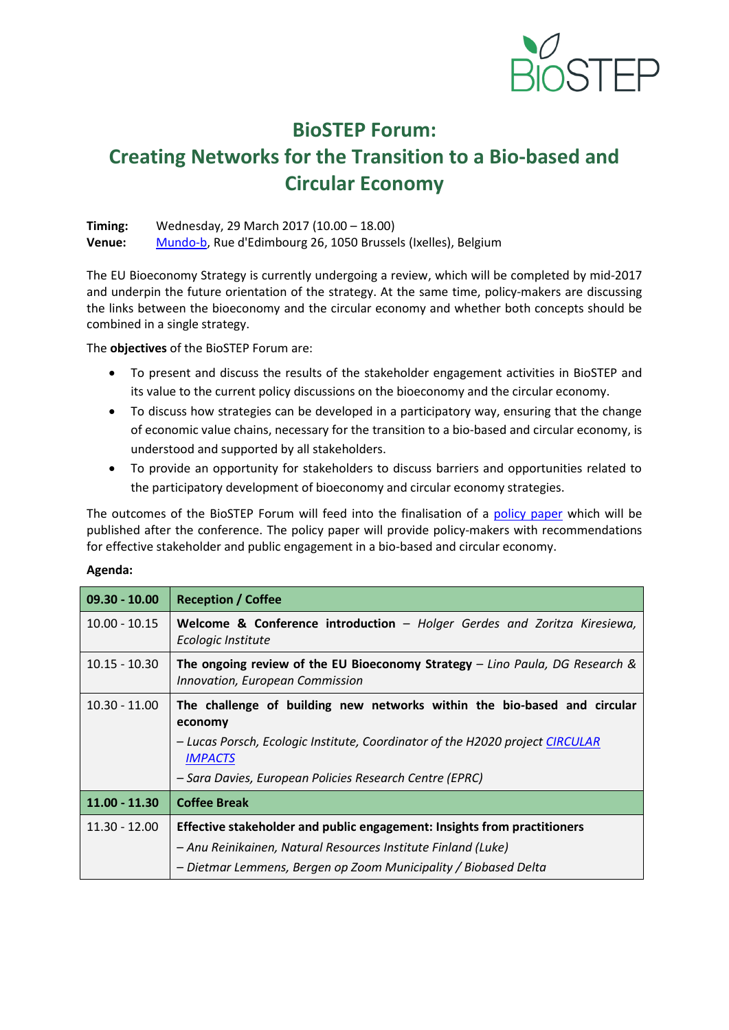

## **BioSTEP Forum:**

# **Creating Networks for the Transition to a Bio-based and Circular Economy**

**Timing:** Wednesday, 29 March 2017 (10.00 – 18.00) **Venue:** [Mundo-b,](https://www.mundo-b.org/en/) Rue d'Edimbourg 26, 1050 Brussels (Ixelles), Belgium

The EU Bioeconomy Strategy is currently undergoing a review, which will be completed by mid-2017 and underpin the future orientation of the strategy. At the same time, policy-makers are discussing the links between the bioeconomy and the circular economy and whether both concepts should be combined in a single strategy.

The **objectives** of the BioSTEP Forum are:

- To present and discuss the results of the stakeholder engagement activities in BioSTEP and its value to the current policy discussions on the bioeconomy and the circular economy.
- To discuss how strategies can be developed in a participatory way, ensuring that the change of economic value chains, necessary for the transition to a bio-based and circular economy, is understood and supported by all stakeholders.
- To provide an opportunity for stakeholders to discuss barriers and opportunities related to the participatory development of bioeconomy and circular economy strategies.

The outcomes of the BioSTEP Forum will feed into the finalisation of a [policy paper](https://www.bio-step.eu/get-involved.html) which will be published after the conference. The policy paper will provide policy-makers with recommendations for effective stakeholder and public engagement in a bio-based and circular economy.

#### **Agenda:**

| $09.30 - 10.00$ | <b>Reception / Coffee</b>                                                                                         |
|-----------------|-------------------------------------------------------------------------------------------------------------------|
| $10.00 - 10.15$ | <b>Welcome &amp; Conference introduction</b> – Holger Gerdes and Zoritza Kiresiewa,<br>Ecologic Institute         |
| $10.15 - 10.30$ | The ongoing review of the EU Bioeconomy Strategy $-$ Lino Paula, DG Research &<br>Innovation, European Commission |
| $10.30 - 11.00$ | The challenge of building new networks within the bio-based and circular<br>economy                               |
|                 | - Lucas Porsch, Ecologic Institute, Coordinator of the H2020 project CIRCULAR<br><b>IMPACTS</b>                   |
|                 | – Sara Davies, European Policies Research Centre (EPRC)                                                           |
| $11.00 - 11.30$ | <b>Coffee Break</b>                                                                                               |
| $11.30 - 12.00$ | Effective stakeholder and public engagement: Insights from practitioners                                          |
|                 | – Anu Reinikainen, Natural Resources Institute Finland (Luke)                                                     |
|                 | - Dietmar Lemmens, Bergen op Zoom Municipality / Biobased Delta                                                   |